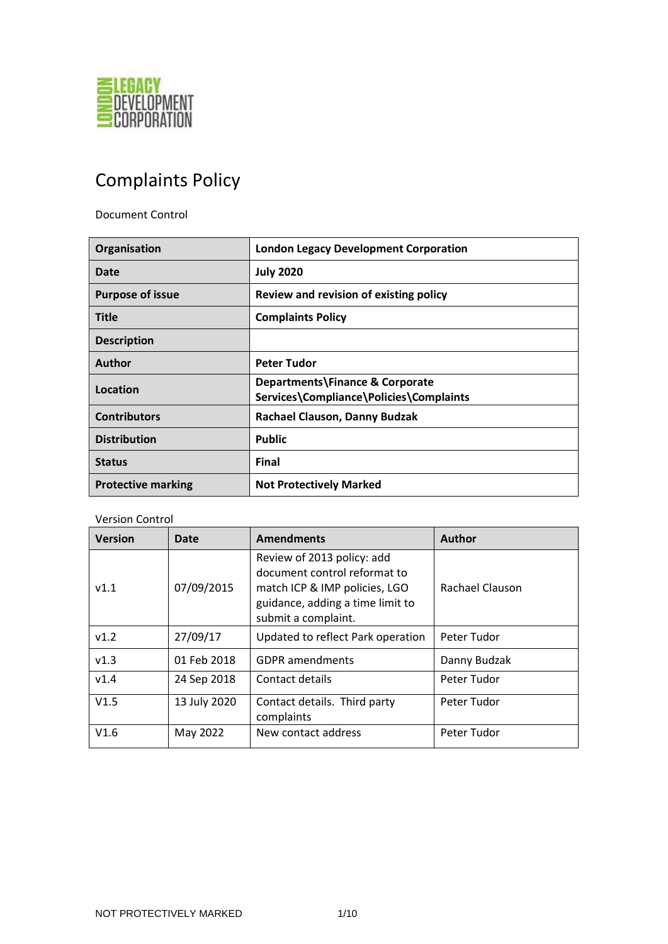

# Complaints Policy

Document Control

| Organisation              | <b>London Legacy Development Corporation</b>                               |
|---------------------------|----------------------------------------------------------------------------|
| Date                      | <b>July 2020</b>                                                           |
| <b>Purpose of issue</b>   | Review and revision of existing policy                                     |
| <b>Title</b>              | <b>Complaints Policy</b>                                                   |
| <b>Description</b>        |                                                                            |
| Author                    | <b>Peter Tudor</b>                                                         |
| Location                  | Departments\Finance & Corporate<br>Services\Compliance\Policies\Complaints |
| <b>Contributors</b>       | Rachael Clauson, Danny Budzak                                              |
| <b>Distribution</b>       | <b>Public</b>                                                              |
| <b>Status</b>             | <b>Final</b>                                                               |
| <b>Protective marking</b> | <b>Not Protectively Marked</b>                                             |

#### Version Control

| <b>Version</b> | Date         | <b>Amendments</b>                                                                                                                                      | <b>Author</b>   |
|----------------|--------------|--------------------------------------------------------------------------------------------------------------------------------------------------------|-----------------|
| V1.1           | 07/09/2015   | Review of 2013 policy: add<br>document control reformat to<br>match ICP & IMP policies, LGO<br>guidance, adding a time limit to<br>submit a complaint. | Rachael Clauson |
| v1.2           | 27/09/17     | Updated to reflect Park operation                                                                                                                      | Peter Tudor     |
| v1.3           | 01 Feb 2018  | <b>GDPR</b> amendments                                                                                                                                 | Danny Budzak    |
| V1.4           | 24 Sep 2018  | Contact details                                                                                                                                        | Peter Tudor     |
| V1.5           | 13 July 2020 | Contact details. Third party<br>complaints                                                                                                             | Peter Tudor     |
| V1.6           | May 2022     | New contact address                                                                                                                                    | Peter Tudor     |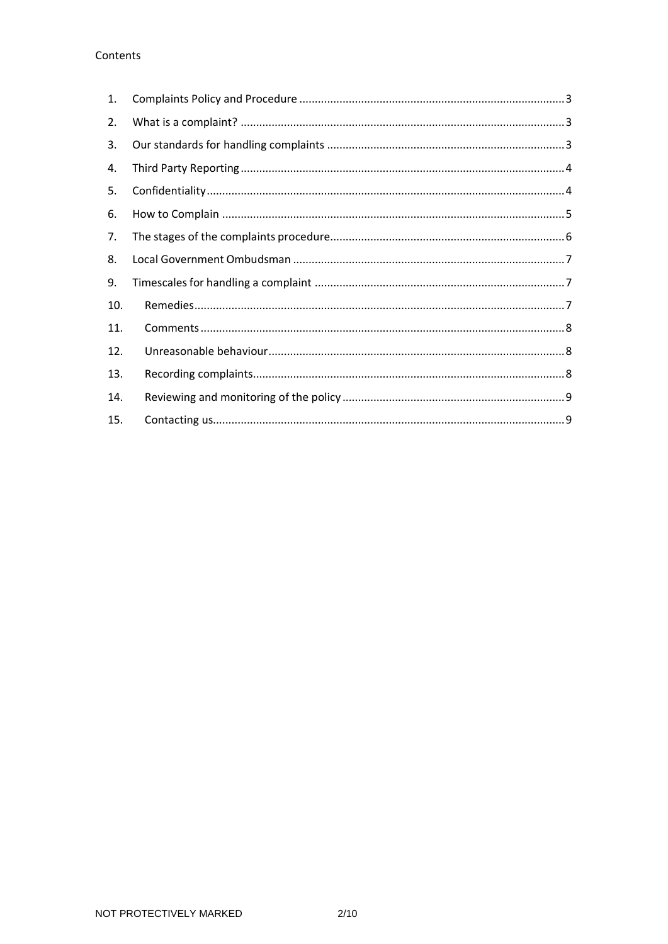## Contents

| 1.  |  |
|-----|--|
| 2.  |  |
| 3.  |  |
| 4.  |  |
| 5.  |  |
| 6.  |  |
| 7.  |  |
| 8.  |  |
| 9.  |  |
| 10. |  |
| 11. |  |
| 12. |  |
| 13. |  |
| 14. |  |
| 15. |  |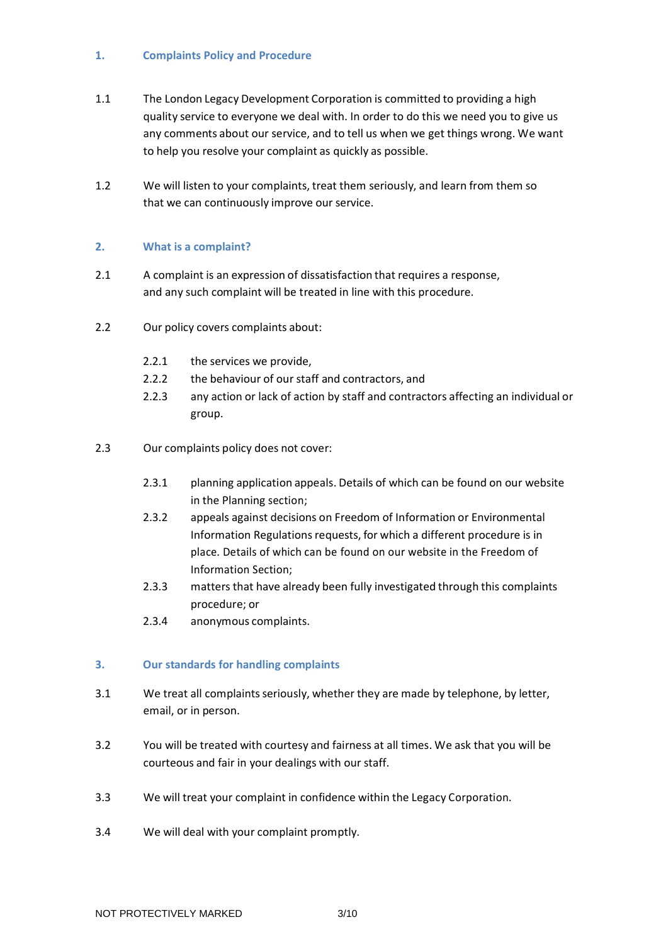#### <span id="page-2-0"></span>**1. Complaints Policy and Procedure**

- 1.1 The London Legacy Development Corporation is committed to providing a high quality service to everyone we deal with. In order to do this we need you to give us any comments about our service, and to tell us when we get things wrong. We want to help you resolve your complaint as quickly as possible.
- 1.2 We will listen to your complaints, treat them seriously, and learn from them so that we can continuously improve our service.

## <span id="page-2-1"></span>**2. What is a complaint?**

- 2.1 A complaint is an expression of dissatisfaction that requires a response, and any such complaint will be treated in line with this procedure.
- 2.2 Our policy covers complaints about:
	- 2.2.1 the services we provide,
	- 2.2.2 the behaviour of our staff and contractors, and
	- 2.2.3 any action or lack of action by staff and contractors affecting an individual or group.
- 2.3 Our complaints policy does not cover:
	- 2.3.1 planning application appeals. Details of which can be found on our website in the Planning section;
	- 2.3.2 appeals against decisions on Freedom of Information or Environmental Information Regulations requests, for which a different procedure is in place. Details of which can be found on our website in the Freedom of Information Section;
	- 2.3.3 matters that have already been fully investigated through this complaints procedure; or
	- 2.3.4 anonymous complaints.

## <span id="page-2-2"></span>**3. Our standards for handling complaints**

- 3.1 We treat all complaints seriously, whether they are made by telephone, by letter, email, or in person.
- 3.2 You will be treated with courtesy and fairness at all times. We ask that you will be courteous and fair in your dealings with our staff.
- 3.3 We will treat your complaint in confidence within the Legacy Corporation.
- 3.4 We will deal with your complaint promptly.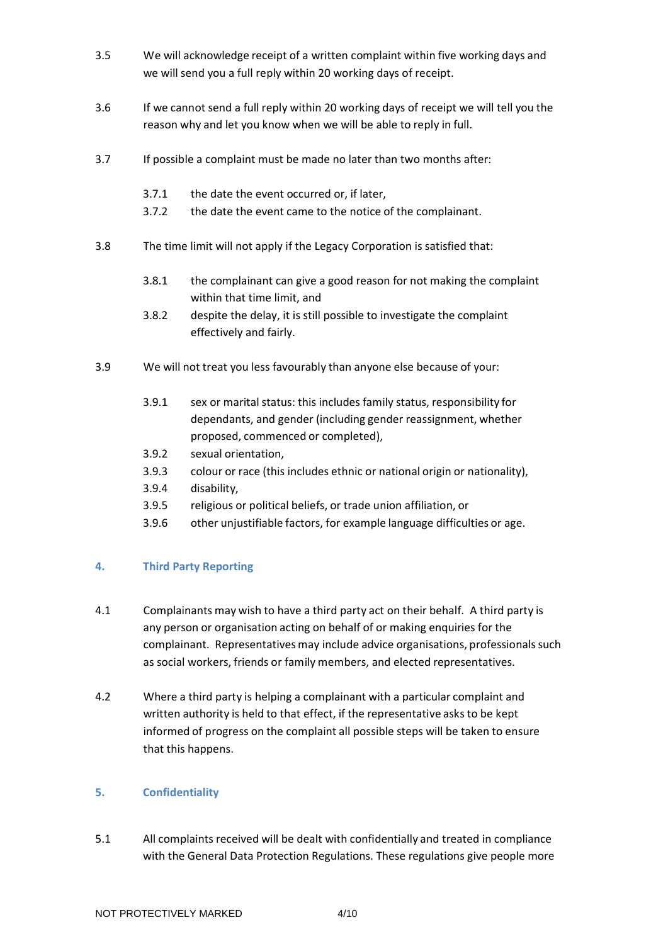- 3.5 We will acknowledge receipt of a written complaint within five working days and we will send you a full reply within 20 working days of receipt.
- 3.6 If we cannot send a full reply within 20 working days of receipt we will tell you the reason why and let you know when we will be able to reply in full.
- 3.7 If possible a complaint must be made no later than two months after:
	- 3.7.1 the date the event occurred or, if later,
	- 3.7.2 the date the event came to the notice of the complainant.
- 3.8 The time limit will not apply if the Legacy Corporation is satisfied that:
	- 3.8.1 the complainant can give a good reason for not making the complaint within that time limit, and
	- 3.8.2 despite the delay, it is still possible to investigate the complaint effectively and fairly.
- 3.9 We will not treat you less favourably than anyone else because of your:
	- 3.9.1 sex or marital status: this includes family status, responsibility for dependants, and gender (including gender reassignment, whether proposed, commenced or completed),
	- 3.9.2 sexual orientation,
	- 3.9.3 colour or race (this includes ethnic or national origin or nationality),
	- 3.9.4 disability,
	- 3.9.5 religious or political beliefs, or trade union affiliation, or
	- 3.9.6 other unjustifiable factors, for example language difficulties or age.

## <span id="page-3-0"></span>**4. Third Party Reporting**

- 4.1 Complainants may wish to have a third party act on their behalf. A third party is any person or organisation acting on behalf of or making enquiries for the complainant. Representatives may include advice organisations, professionals such as social workers, friends or family members, and elected representatives.
- 4.2 Where a third party is helping a complainant with a particular complaint and written authority is held to that effect, if the representative asks to be kept informed of progress on the complaint all possible steps will be taken to ensure that this happens.

#### <span id="page-3-1"></span>**5. Confidentiality**

5.1 All complaints received will be dealt with confidentially and treated in compliance with the General Data Protection Regulations. These regulations give people more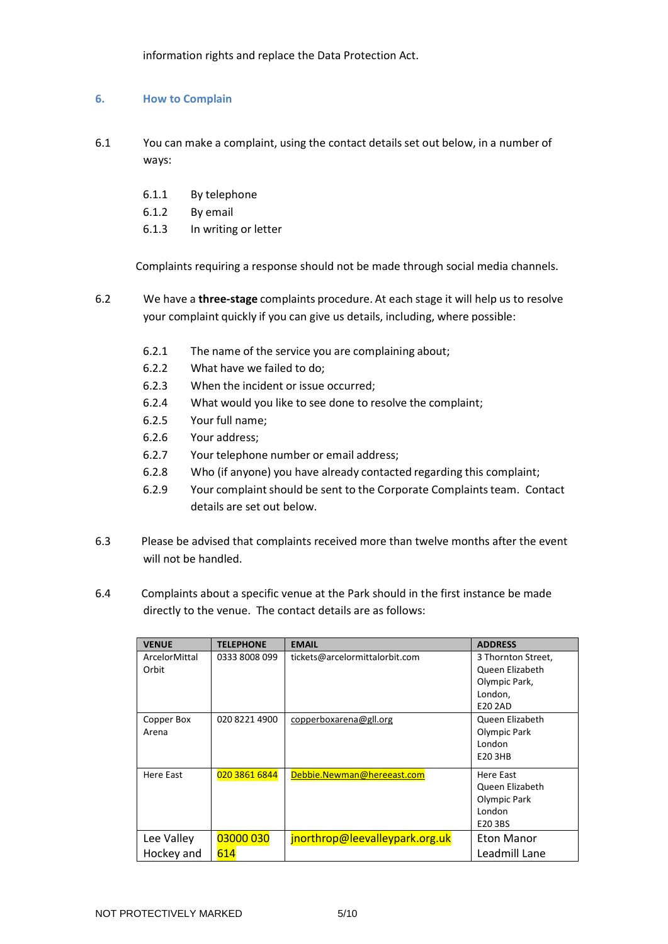information rights and replace the Data Protection Act.

#### <span id="page-4-0"></span>**6. How to Complain**

- 6.1 You can make a complaint, using the contact details set out below, in a number of ways:
	- 6.1.1 By telephone
	- 6.1.2 By email
	- 6.1.3 In writing or letter

Complaints requiring a response should not be made through social media channels.

- 6.2 We have a **three-stage** complaints procedure. At each stage it will help us to resolve your complaint quickly if you can give us details, including, where possible:
	- 6.2.1 The name of the service you are complaining about;
	- 6.2.2 What have we failed to do;
	- 6.2.3 When the incident or issue occurred;
	- 6.2.4 What would you like to see done to resolve the complaint;
	- 6.2.5 Your full name;
	- 6.2.6 Your address;
	- 6.2.7 Your telephone number or email address;
	- 6.2.8 Who (if anyone) you have already contacted regarding this complaint;
	- 6.2.9 Your complaint should be sent to the Corporate Complaints team. Contact details are set out below.
- 6.3 Please be advised that complaints received more than twelve months after the event will not be handled.
- 6.4 Complaints about a specific venue at the Park should in the first instance be made directly to the venue. The contact details are as follows:

| <b>VENUE</b>  | <b>TELEPHONE</b> | <b>EMAIL</b>                   | <b>ADDRESS</b>     |
|---------------|------------------|--------------------------------|--------------------|
| ArcelorMittal | 0333 8008 099    | tickets@arcelormittalorbit.com | 3 Thornton Street, |
| Orbit         |                  |                                | Queen Elizabeth    |
|               |                  |                                | Olympic Park,      |
|               |                  |                                | London,            |
|               |                  |                                | E20 2AD            |
| Copper Box    | 020 8221 4900    | copperboxarena@gll.org         | Queen Elizabeth    |
| Arena         |                  |                                | Olympic Park       |
|               |                  |                                | London             |
|               |                  |                                | E20 3HB            |
| Here East     | 020 3861 6844    | Debbie.Newman@hereeast.com     | Here East          |
|               |                  |                                | Queen Elizabeth    |
|               |                  |                                | Olympic Park       |
|               |                  |                                | London             |
|               |                  |                                | E20 3BS            |
| Lee Valley    | 03000 030        | jnorthrop@leevalleypark.org.uk | Eton Manor         |
| Hockey and    | 614              |                                | Leadmill Lane      |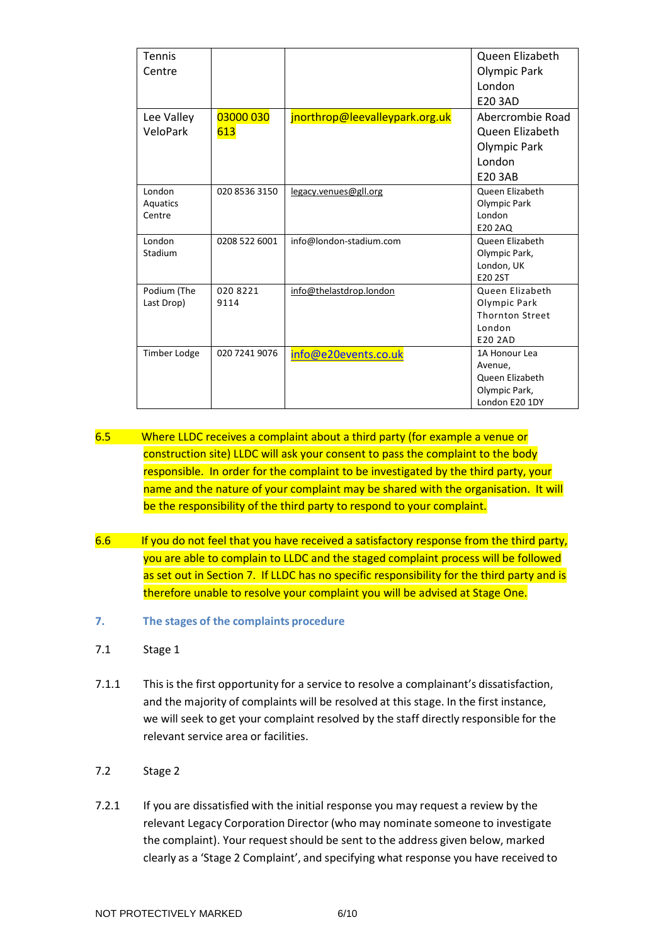| <b>Tennis</b>                |                  |                                | Queen Elizabeth                                                                       |
|------------------------------|------------------|--------------------------------|---------------------------------------------------------------------------------------|
| Centre                       |                  |                                | <b>Olympic Park</b>                                                                   |
|                              |                  |                                | <b>London</b>                                                                         |
|                              |                  |                                | E20 3AD                                                                               |
| Lee Valley                   | 03000 030        | jnorthrop@leevalleypark.org.uk | Abercrombie Road                                                                      |
| VeloPark                     | 613              |                                | Queen Elizabeth                                                                       |
|                              |                  |                                | <b>Olympic Park</b>                                                                   |
|                              |                  |                                | London                                                                                |
|                              |                  |                                | <b>E20 3AB</b>                                                                        |
| London<br>Aquatics<br>Centre | 020 8536 3150    | legacy.venues@gll.org          | <b>Oueen Elizabeth</b><br>Olympic Park<br>London<br>E20 2AQ                           |
| London<br>Stadium            | 0208 522 6001    | info@london-stadium.com        | Queen Elizabeth<br>Olympic Park,<br>London, UK<br>E20 2ST                             |
| Podium (The<br>Last Drop)    | 020 8221<br>9114 | info@thelastdrop.london        | Queen Elizabeth<br>Olympic Park<br><b>Thornton Street</b><br>London<br>E20 2AD        |
| Timber Lodge                 | 020 7241 9076    | info@e20events.co.uk           | 1A Honour Lea<br>Avenue,<br><b>Oueen Elizabeth</b><br>Olympic Park,<br>London E20 1DY |

- 6.5 Where LLDC receives a complaint about a third party (for example a venue or construction site) LLDC will ask your consent to pass the complaint to the body responsible. In order for the complaint to be investigated by the third party, your name and the nature of your complaint may be shared with the organisation. It will be the responsibility of the third party to respond to your complaint.
- 6.6 If you do not feel that you have received a satisfactory response from the third party, you are able to complain to LLDC and the staged complaint process will be followed as set out in Section 7. If LLDC has no specific responsibility for the third party and is therefore unable to resolve your complaint you will be advised at Stage One.
- <span id="page-5-0"></span>**7. The stages of the complaints procedure**
- 7.1 Stage 1
- 7.1.1 This is the first opportunity for a service to resolve a complainant's dissatisfaction, and the majority of complaints will be resolved at this stage. In the first instance, we will seek to get your complaint resolved by the staff directly responsible for the relevant service area or facilities.
- 7.2 Stage 2
- 7.2.1 If you are dissatisfied with the initial response you may request a review by the relevant Legacy Corporation Director (who may nominate someone to investigate the complaint). Your request should be sent to the address given below, marked clearly as a 'Stage 2 Complaint', and specifying what response you have received to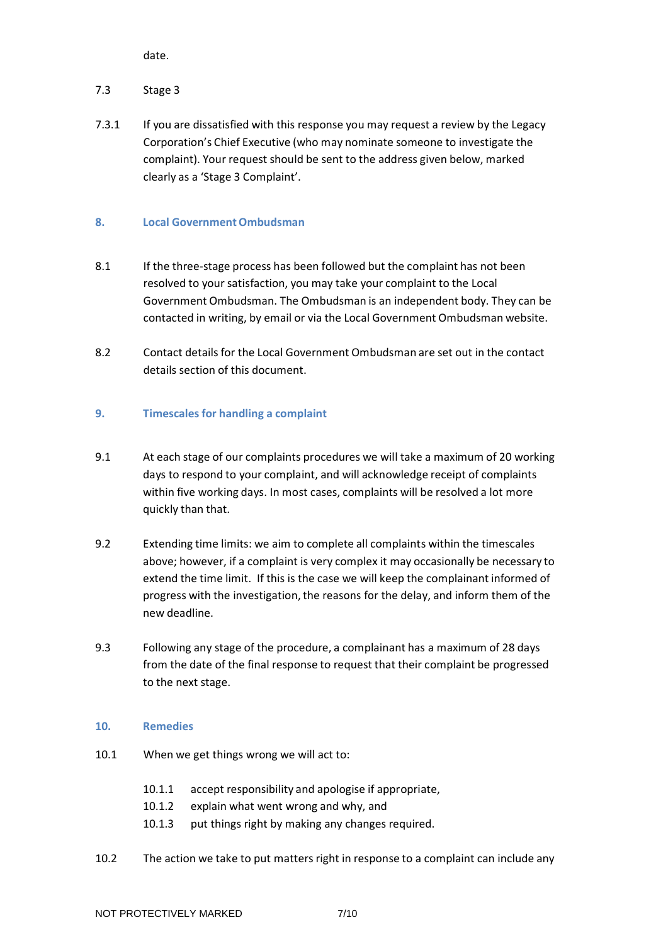date.

# 7.3 Stage 3

7.3.1 If you are dissatisfied with this response you may request a review by the Legacy Corporation's Chief Executive (who may nominate someone to investigate the complaint). Your request should be sent to the address given below, marked clearly as a 'Stage 3 Complaint'.

## <span id="page-6-0"></span>**8. Local GovernmentOmbudsman**

- 8.1 If the three-stage process has been followed but the complaint has not been resolved to your satisfaction, you may take your complaint to the Local Government Ombudsman. The Ombudsman is an independent body. They can be contacted in writing, by email or via the Local Government Ombudsman website.
- 8.2 Contact details for the Local Government Ombudsman are set out in the contact details section of this document.

## <span id="page-6-1"></span>**9. Timescalesfor handling a complaint**

- 9.1 At each stage of our complaints procedures we will take a maximum of 20 working days to respond to your complaint, and will acknowledge receipt of complaints within five working days. In most cases, complaints will be resolved a lot more quickly than that.
- 9.2 Extending time limits: we aim to complete all complaints within the timescales above; however, if a complaint is very complex it may occasionally be necessary to extend the time limit. If this is the case we will keep the complainant informed of progress with the investigation, the reasons for the delay, and inform them of the new deadline.
- 9.3 Following any stage of the procedure, a complainant has a maximum of 28 days from the date of the final response to request that their complaint be progressed to the next stage.

## <span id="page-6-2"></span>**10. Remedies**

- 10.1 When we get things wrong we will act to:
	- 10.1.1 accept responsibility and apologise if appropriate,
	- 10.1.2 explain what went wrong and why, and
	- 10.1.3 put things right by making any changes required.
- 10.2 The action we take to put matters right in response to a complaint can include any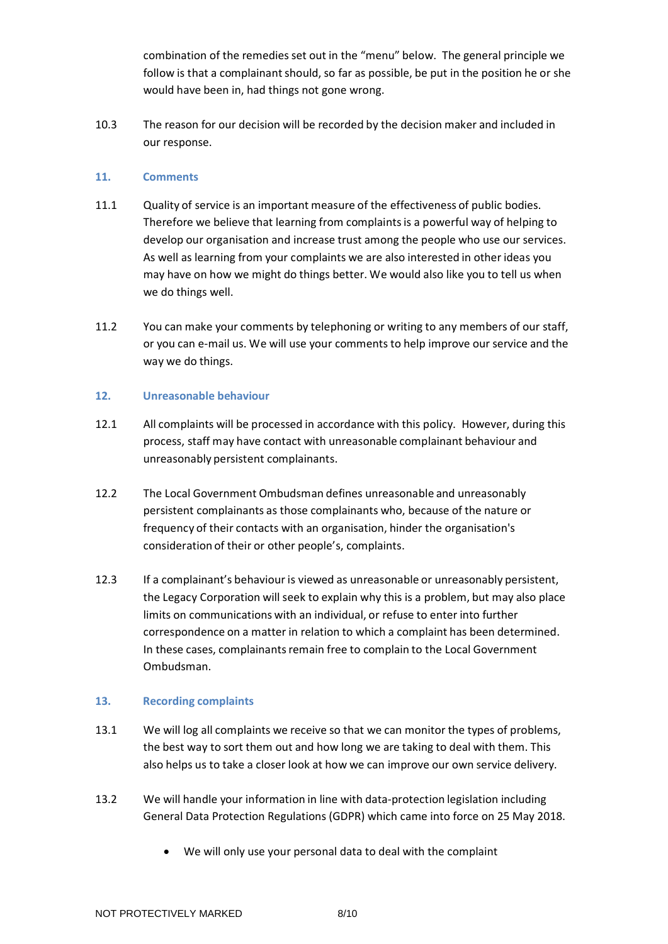combination of the remedies set out in the "menu" below. The general principle we follow is that a complainant should, so far as possible, be put in the position he or she would have been in, had things not gone wrong.

10.3 The reason for our decision will be recorded by the decision maker and included in our response.

## <span id="page-7-0"></span>**11. Comments**

- 11.1 Quality of service is an important measure of the effectiveness of public bodies. Therefore we believe that learning from complaintsis a powerful way of helping to develop our organisation and increase trust among the people who use our services. As well as learning from your complaints we are also interested in other ideas you may have on how we might do things better. We would also like you to tell us when we do things well.
- 11.2 You can make your comments by telephoning or writing to any members of our staff, or you can e-mail us. We will use your comments to help improve our service and the way we do things.

### <span id="page-7-1"></span>**12. Unreasonable behaviour**

- 12.1 All complaints will be processed in accordance with this policy. However, during this process, staff may have contact with unreasonable complainant behaviour and unreasonably persistent complainants.
- 12.2 The Local Government Ombudsman defines unreasonable and unreasonably persistent complainants as those complainants who, because of the nature or frequency of their contacts with an organisation, hinder the organisation's consideration of their or other people's, complaints.
- 12.3 If a complainant's behaviour is viewed as unreasonable or unreasonably persistent, the Legacy Corporation will seek to explain why this is a problem, but may also place limits on communications with an individual, or refuse to enter into further correspondence on a matter in relation to which a complaint has been determined. In these cases, complainants remain free to complain to the Local Government Ombudsman.

## <span id="page-7-2"></span>**13. Recording complaints**

- 13.1 We will log all complaints we receive so that we can monitor the types of problems, the best way to sort them out and how long we are taking to deal with them. This also helps us to take a closer look at how we can improve our own service delivery.
- 13.2 We will handle your information in line with data-protection legislation including General Data Protection Regulations (GDPR) which came into force on 25 May 2018.
	- We will only use your personal data to deal with the complaint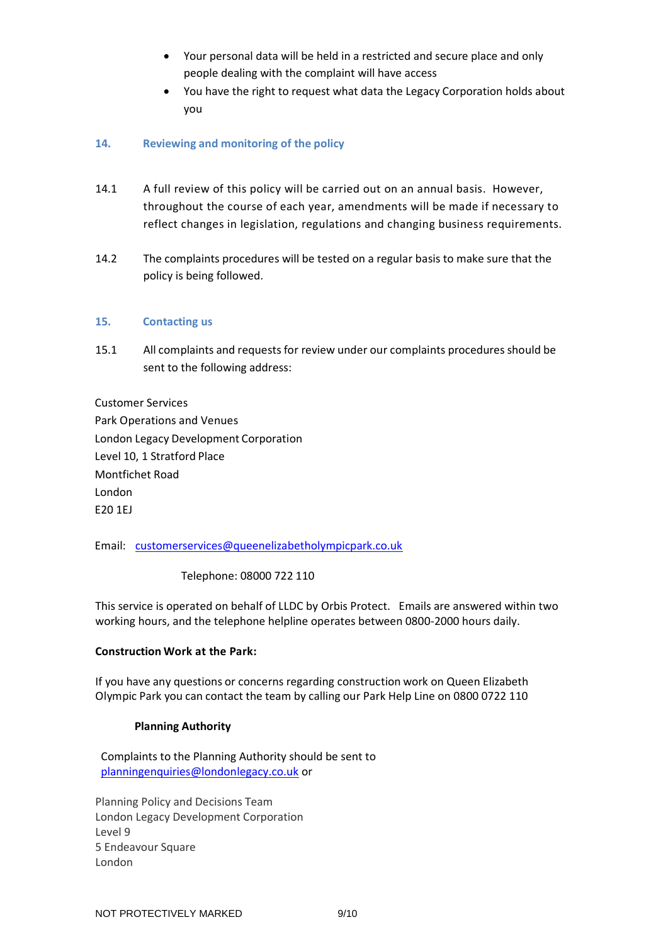- Your personal data will be held in a restricted and secure place and only people dealing with the complaint will have access
- You have the right to request what data the Legacy Corporation holds about you

### <span id="page-8-0"></span>**14. Reviewing and monitoring of the policy**

- 14.1 A full review of this policy will be carried out on an annual basis. However, throughout the course of each year, amendments will be made if necessary to reflect changes in legislation, regulations and changing business requirements.
- 14.2 The complaints procedures will be tested on a regular basis to make sure that the policy is being followed.

#### <span id="page-8-1"></span>**15. Contacting us**

15.1 All complaints and requests for review under our complaints procedures should be sent to the following address:

Customer Services

Park Operations and Venues London Legacy Development Corporation Level 10, 1 Stratford Place Montfichet Road London E20 1EJ

Email: [customerservices@queenelizabetholympicpark.co.uk](mailto:customerservices@queenelizabetholympicpark.co.uk)

Telephone: 08000 722 110

This service is operated on behalf of LLDC by Orbis Protect. Emails are answered within two working hours, and the telephone helpline operates between 0800-2000 hours daily.

#### **Construction Work at the Park:**

If you have any questions or concerns regarding construction work on Queen Elizabeth Olympic Park you can contact the team by calling our Park Help Line on 0800 0722 110

#### **Planning Authority**

 Complaints to the Planning Authority should be sent to [planningenquiries@londonlegacy.co.uk](mailto:planningenquiries@londonlegacy.co.uk) or

Planning Policy and Decisions Team London Legacy Development Corporation Level 9 5 Endeavour Square London